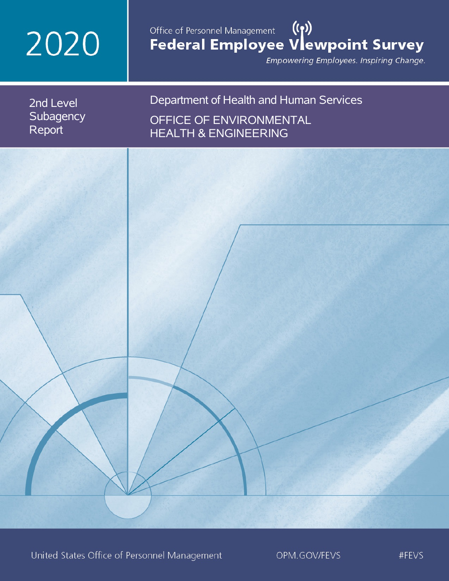# 2020

# Office of Personnel Management (())<br>Federal Employee Vlewpoint Survey

Empowering Employees. Inspiring Change.

# 2nd Level **Subagency Report** Department of Health and Human Services OFFICE OF ENVIRONMENTAL HEALTH & ENGINEERING

United States Office of Personnel Management

OPM.GOV/FEVS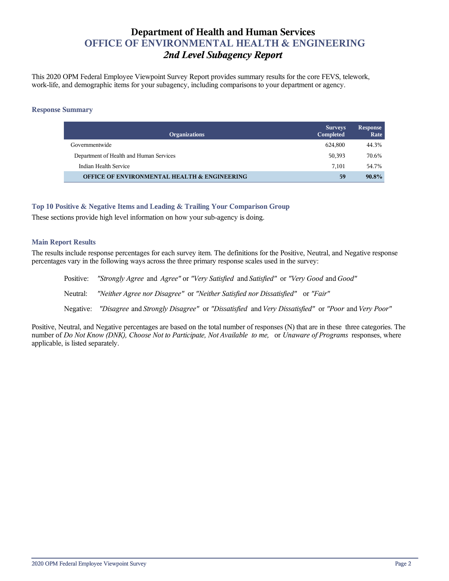# **Department of Health and Human Services OFFICE OF ENVIRONMENTAL HEALTH & ENGINEERING** *2nd Level Subagency Report*

This 2020 OPM Federal Employee Viewpoint Survey Report provides summary results for the core FEVS, telework, work-life, and demographic items for your subagency, including comparisons to your department or agency.

#### **Response Summary**

| <b>Organizations</b>                                    | <b>Surveys</b><br>Completed | Response<br>Rate |
|---------------------------------------------------------|-----------------------------|------------------|
| Governmentwide                                          | 624.800                     | 44.3%            |
| Department of Health and Human Services                 | 50,393                      | 70.6%            |
| Indian Health Service                                   | 7.101                       | 54.7%            |
| <b>OFFICE OF ENVIRONMENTAL HEALTH &amp; ENGINEERING</b> | 59                          | 90.8%            |

#### **Top 10 Positive & Negative Items and Leading & Trailing Your Comparison Group**

These sections provide high level information on how your sub-agency is doing.

#### **Main Report Results**

The results include response percentages for each survey item. The definitions for the Positive, Neutral, and Negative response percentages vary in the following ways across the three primary response scales used in the survey:

Positive: *"Strongly Agree* and *Agree"* or *"Very Satisfied* and *Satisfied"* or *"Very Good* and *Good"* Neutral: *"Neither Agree nor Disagree"* or *"Neither Satisfied nor Dissatisfied"* or *"Fair"* Negative: *"Disagree* and *Strongly Disagree"* or *"Dissatisfied* and *Very Dissatisfied"* or *"Poor* and *Very Poor"*

Positive, Neutral, and Negative percentages are based on the total number of responses (N) that are in these three categories. The number of *Do Not Know (DNK), Choose Not to Participate, Not Available to me,* or *Unaware of Programs* responses, where applicable, is listed separately.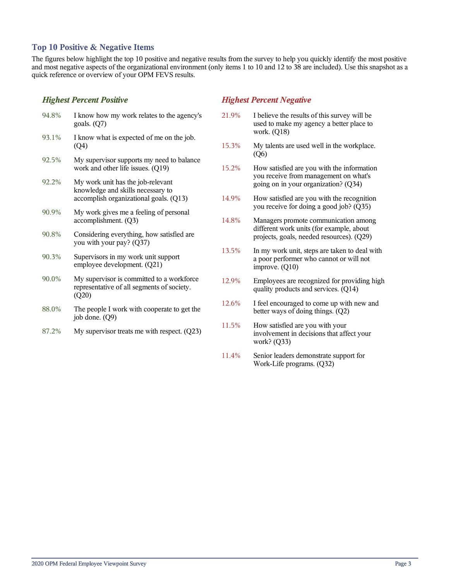#### **Top 10 Positive & Negative Items**

The figures below highlight the top 10 positive and negative results from the survey to help you quickly identify the most positive and most negative aspects of the organizational environment (only items 1 to 10 and 12 to 38 are included). Use this snapshot as a quick reference or overview of your OPM FEVS results.

#### *Highest Percent Positive*

| 94.8% | I know how my work relates to the agency's<br>goals. $(Q7)$                                                      |
|-------|------------------------------------------------------------------------------------------------------------------|
| 93.1% | I know what is expected of me on the job.<br>(Q4)                                                                |
| 92.5% | My supervisor supports my need to balance<br>work and other life issues. (Q19)                                   |
| 92.2% | My work unit has the job-relevant<br>knowledge and skills necessary to<br>accomplish organizational goals. (Q13) |
| 90.9% | My work gives me a feeling of personal<br>accomplishment. (Q3)                                                   |
| 90.8% | Considering everything, how satisfied are<br>you with your pay? (Q37)                                            |
| 90.3% | Supervisors in my work unit support<br>employee development. (Q21)                                               |
| 90.0% | My supervisor is committed to a workforce.<br>representative of all segments of society.<br>(O20)                |

- 88.0% The people I work with cooperate to get the job done. (Q9)
- 87.2% My supervisor treats me with respect. (Q23)

#### *Highest Percent Negative*

- 21.9% I believe the results of this survey will be used to make my agency a better place to work. (Q18)
- 15.3% My talents are used well in the workplace. (Q6)
- 15.2% How satisfied are you with the information you receive from management on what's going on in your organization? (Q34)
- 14.9% How satisfied are you with the recognition you receive for doing a good job? (Q35)
- 14.8% Managers promote communication among different work units (for example, about projects, goals, needed resources). (Q29)
- 13.5% In my work unit, steps are taken to deal with a poor performer who cannot or will not improve. (Q10)
- 12.9% Employees are recognized for providing high quality products and services. (Q14)
- 12.6% I feel encouraged to come up with new and better ways of doing things. (Q2)
- 11.5% How satisfied are you with your involvement in decisions that affect your work? (Q33)
- 11.4% Senior leaders demonstrate support for Work-Life programs. (Q32)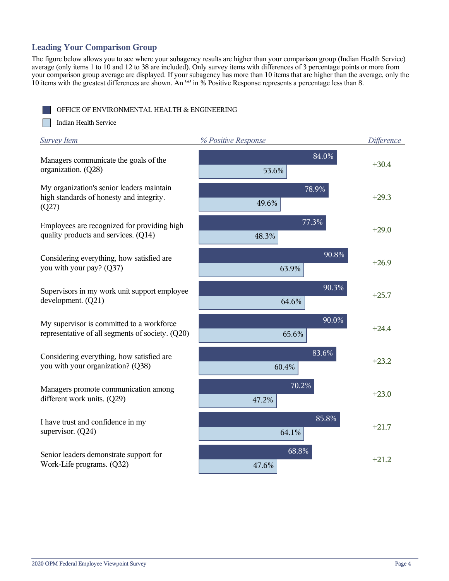# **Leading Your Comparison Group**

The figure below allows you to see where your subagency results are higher than your comparison group (Indian Health Service) average (only items 1 to 10 and 12 to 38 are included). Only survey items with differences of 3 percentage points or more from your comparison group average are displayed. If your subagency has more than 10 items that are higher than the average, only the 10 items with the greatest differences are shown. An '\*' in % Positive Response represents a percentage less than 8.

OFFICE OF ENVIRONMENTAL HEALTH & ENGINEERING

m Indian Health Service

| <b>Survey Item</b>                                                                             | % Positive Response | <b>Difference</b> |
|------------------------------------------------------------------------------------------------|---------------------|-------------------|
| Managers communicate the goals of the<br>organization. (Q28)                                   | 84.0%<br>53.6%      | $+30.4$           |
| My organization's senior leaders maintain<br>high standards of honesty and integrity.<br>(Q27) | 78.9%<br>49.6%      | $+29.3$           |
| Employees are recognized for providing high<br>quality products and services. (Q14)            | 77.3%<br>48.3%      | $+29.0$           |
| Considering everything, how satisfied are<br>you with your pay? (Q37)                          | 90.8%<br>63.9%      | $+26.9$           |
| Supervisors in my work unit support employee<br>development. (Q21)                             | 90.3%<br>64.6%      | $+25.7$           |
| My supervisor is committed to a workforce<br>representative of all segments of society. (Q20)  | 90.0%<br>65.6%      | $+24.4$           |
| Considering everything, how satisfied are<br>you with your organization? (Q38)                 | 83.6%<br>60.4%      | $+23.2$           |
| Managers promote communication among<br>different work units. (Q29)                            | 70.2%<br>47.2%      | $+23.0$           |
| I have trust and confidence in my<br>supervisor. (Q24)                                         | 85.8%<br>64.1%      | $+21.7$           |
| Senior leaders demonstrate support for<br>Work-Life programs. (Q32)                            | 68.8%<br>47.6%      | $+21.2$           |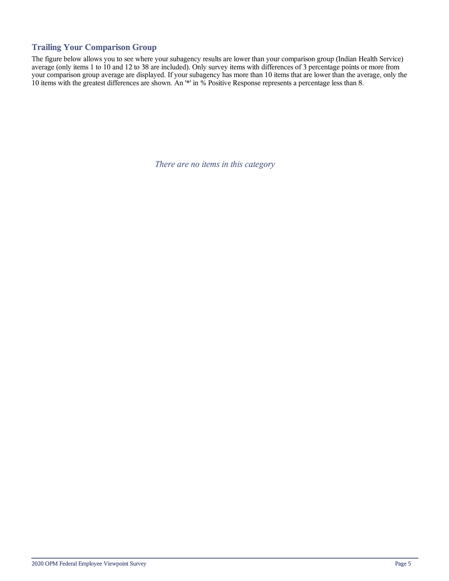# **Trailing Your Comparison Group**

The figure below allows you to see where your subagency results are lower than your comparison group (Indian Health Service) average (only items 1 to 10 and 12 to 38 are included). Only survey items with differences of 3 percentage points or more from your comparison group average are displayed. If your subagency has more than 10 items that are lower than the average, only the 10 items with the greatest differences are shown. An '\*' in % Positive Response represents a percentage less than 8.

*There are no items in this category*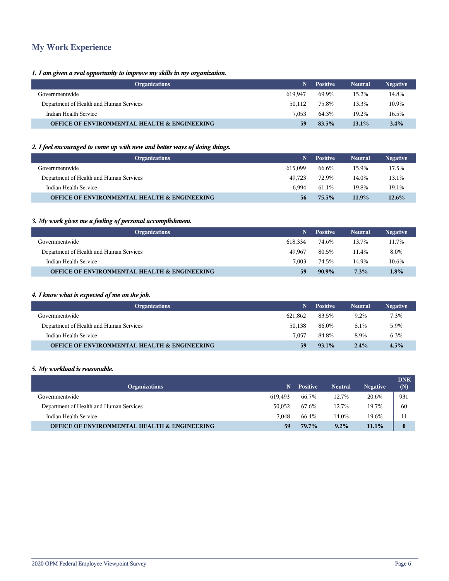# **My Work Experience**

#### *1. I am given a real opportunity to improve my skills in my organization.*

| <b>Organizations</b>                                    | N       | <b>Positive</b> | <b>Neutral</b> | <b>Negative</b> |
|---------------------------------------------------------|---------|-----------------|----------------|-----------------|
| Governmentwide                                          | 619.947 | 69.9%           | 15.2%          | 14.8%           |
| Department of Health and Human Services                 | 50.112  | 75.8%           | 13.3%          | 10.9%           |
| Indian Health Service                                   | 7.053   | 64.3%           | 19.2%          | 16.5%           |
| <b>OFFICE OF ENVIRONMENTAL HEALTH &amp; ENGINEERING</b> | -59     | 83.5%           | $13.1\%$       | $3.4\%$         |

#### *2. I feel encouraged to come up with new and better ways of doing things.*

| <b>Organizations</b>                         | N       | <b>Positive</b> | <b>Neutral</b> | <b>Negative</b> |
|----------------------------------------------|---------|-----------------|----------------|-----------------|
| Governmentwide                               | 615.099 | 66.6%           | 15.9%          | 17.5%           |
| Department of Health and Human Services      | 49.723  | 72.9%           | 14.0%          | 13.1%           |
| Indian Health Service                        | 6.994   | 61.1%           | 19.8%          | 19.1%           |
| OFFICE OF ENVIRONMENTAL HEALTH & ENGINEERING | 56      | 75.5%           | 11.9%          | $12.6\%$        |

#### *3. My work gives me a feeling of personal accomplishment.*

| <b>Organizations</b>                         | N       | <b>Positive</b> | <b>Neutral</b> | <b>Negative</b> |
|----------------------------------------------|---------|-----------------|----------------|-----------------|
| Governmentwide                               | 618.334 | 74.6%           | 13.7%          | 11.7%           |
| Department of Health and Human Services      | 49.967  | 80.5%           | 11.4%          | 8.0%            |
| Indian Health Service                        | 7.003   | 74.5%           | 14.9%          | 10.6%           |
| OFFICE OF ENVIRONMENTAL HEALTH & ENGINEERING | 59      | $90.9\%$        | 7.3%           | $1.8\%$         |

#### *4. I know what is expected of me on the job.*

| <b>Organizations</b>                         | N.      | <b>Positive</b> | <b>Neutral</b> | <b>Negative</b> |
|----------------------------------------------|---------|-----------------|----------------|-----------------|
| Governmentwide                               | 621.862 | 83.5%           | 9.2%           | 7.3%            |
| Department of Health and Human Services      | 50.138  | 86.0%           | 8.1%           | 5.9%            |
| Indian Health Service                        | 7.057   | 84.8%           | 8.9%           | 6.3%            |
| OFFICE OF ENVIRONMENTAL HEALTH & ENGINEERING | 59      | $93.1\%$        | 2.4%           | 4.5%            |

#### *5. My workload is reasonable.*

| <b>Organizations</b>                         | N       | <b>Positive</b> | <b>Neutral</b> | <b>Negative</b> | <b>DNK</b><br>(N) |
|----------------------------------------------|---------|-----------------|----------------|-----------------|-------------------|
| Governmentwide                               | 619.493 | 66.7%           | 12.7%          | 20.6%           | 931               |
| Department of Health and Human Services      | 50,052  | 67.6%           | 12.7%          | 19.7%           | 60                |
| Indian Health Service                        | 7.048   | 66.4%           | 14.0%          | 19.6%           | 11                |
| OFFICE OF ENVIRONMENTAL HEALTH & ENGINEERING | 59      | 79.7%           | $9.2\%$        | $11.1\%$        | $\bf{0}$          |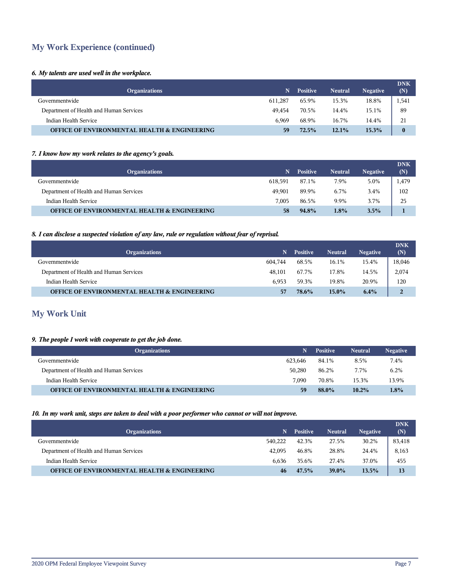# **My Work Experience (continued)**

#### *6. My talents are used well in the workplace.*

| <b>Organizations</b>                         |         | <b>Positive</b> | <b>Neutral</b> | <b>Negative</b> | <b>DNK</b><br>(N) |
|----------------------------------------------|---------|-----------------|----------------|-----------------|-------------------|
| Governmentwide                               | 611.287 | 65.9%           | 15.3%          | 18.8%           | 1,541             |
| Department of Health and Human Services      | 49.454  | 70.5%           | 14.4%          | 15.1%           | 89                |
| Indian Health Service                        | 6.969   | 68.9%           | 16.7%          | 14.4%           | 21                |
| OFFICE OF ENVIRONMENTAL HEALTH & ENGINEERING | 59      | 72.5%           | 12.1%          | 15.3%           | $\bf{0}$          |

#### *7. I know how my work relates to the agency's goals.*

| <b>Organizations</b>                                    | N.      | <b>Positive</b> | <b>Neutral</b> | <b>Negative</b> | <b>DNK</b><br>(N) |
|---------------------------------------------------------|---------|-----------------|----------------|-----------------|-------------------|
| Governmentwide                                          | 618.591 | 87.1%           | 7.9%           | 5.0%            | 1,479             |
| Department of Health and Human Services                 | 49.901  | 89.9%           | 6.7%           | 3.4%            | 102               |
| Indian Health Service                                   | 7.005   | 86.5%           | 9.9%           | 3.7%            | 25                |
| <b>OFFICE OF ENVIRONMENTAL HEALTH &amp; ENGINEERING</b> | 58      | 94.8%           | $1.8\%$        | 3.5%            |                   |

#### *8. I can disclose a suspected violation of any law, rule or regulation without fear of reprisal.*

| <b>Organizations</b>                                    | N       | <b>Positive</b> | <b>Neutral</b> | <b>Negative</b> | <b>DNK</b><br>(N) |
|---------------------------------------------------------|---------|-----------------|----------------|-----------------|-------------------|
| Governmentwide                                          | 604.744 | 68.5%           | 16.1%          | 15.4%           | 18,046            |
| Department of Health and Human Services                 | 48.101  | 67.7%           | 17.8%          | 14.5%           | 2,074             |
| Indian Health Service                                   | 6.953   | 59.3%           | 19.8%          | 20.9%           | 120               |
| <b>OFFICE OF ENVIRONMENTAL HEALTH &amp; ENGINEERING</b> | 57      | 78.6%           | $15.0\%$       | $6.4\%$         |                   |

# **My Work Unit**

#### *9. The people I work with cooperate to get the job done.*

| <b>Organizations</b>                         | N       | <b>Positive</b> | <b>Neutral</b> | <b>Negative</b> |
|----------------------------------------------|---------|-----------------|----------------|-----------------|
| Governmentwide                               | 623.646 | 84.1%           | 8.5%           | 7.4%            |
| Department of Health and Human Services      | 50,280  | 86.2%           | 7.7%           | 6.2%            |
| Indian Health Service                        | 7.090   | 70.8%           | 15.3%          | 13.9%           |
| OFFICE OF ENVIRONMENTAL HEALTH & ENGINEERING | 59      | 88.0%           | $10.2\%$       | $1.8\%$         |

#### *10. In my work unit, steps are taken to deal with a poor performer who cannot or will not improve.*

| <b>Organizations</b>                         | N       | <b>Positive</b> | <b>Neutral</b> | <b>Negative</b> | <b>DNK</b><br>(N) |
|----------------------------------------------|---------|-----------------|----------------|-----------------|-------------------|
| Governmentwide                               | 540.222 | 42.3%           | 27.5%          | 30.2%           | 83,418            |
| Department of Health and Human Services      | 42.095  | 46.8%           | 28.8%          | 24.4%           | 8,163             |
| Indian Health Service                        | 6.636   | 35.6%           | 27.4%          | 37.0%           | 455               |
| OFFICE OF ENVIRONMENTAL HEALTH & ENGINEERING | 46      | 47.5%           | <b>39.0%</b>   | 13.5%           | 13                |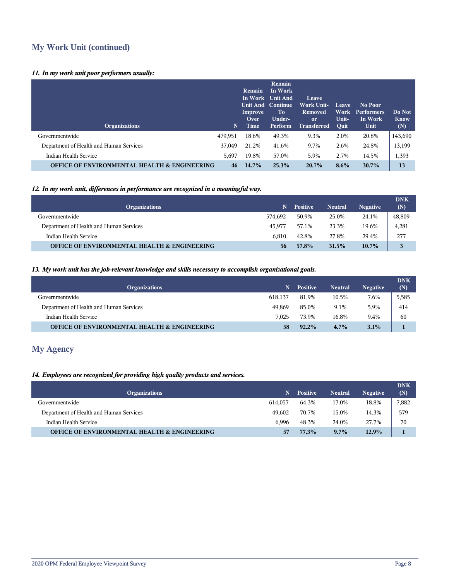# **My Work Unit (continued)**

#### *11. In my work unit poor performers usually:*

| <b>Organizations</b>                         | N       | Remain<br><b>Unit And</b><br>Improve<br>Over<br><b>Time</b> | Remain<br>In Work<br>In Work Unit And<br>Continue<br>T <sub>o</sub><br>Under-<br>Perform | Leave<br>Work Unit-<br>Removed<br><sub>or</sub><br><b>Transferred</b> | Leave<br>Work<br>Unit-<br>Quit | No Poor<br><b>Performers</b><br>In Work<br>Unit | Do Not<br><b>Know</b><br>(N) |
|----------------------------------------------|---------|-------------------------------------------------------------|------------------------------------------------------------------------------------------|-----------------------------------------------------------------------|--------------------------------|-------------------------------------------------|------------------------------|
| Governmentwide                               | 479,951 | 18.6%                                                       | 49.3%                                                                                    | 9.3%                                                                  | 2.0%                           | 20.8%                                           | 143,690                      |
| Department of Health and Human Services      | 37,049  | 21.2%                                                       | 41.6%                                                                                    | 9.7%                                                                  | 2.6%                           | 24.8%                                           | 13,199                       |
| Indian Health Service                        | 5,697   | 19.8%                                                       | 57.0%                                                                                    | 5.9%                                                                  | 2.7%                           | 14.5%                                           | 1,393                        |
| OFFICE OF ENVIRONMENTAL HEALTH & ENGINEERING | 46      | $14.7\%$                                                    | 25.3%                                                                                    | $20.7\%$                                                              | $8.6\%$                        | $30.7\%$                                        | 13                           |

#### *12. In my work unit, differences in performance are recognized in a meaningful way.*

| <b>Organizations</b>                         | N       | <b>Positive</b> | <b>Neutral</b> | <b>Negative</b> | <b>DNK</b><br>(N) |
|----------------------------------------------|---------|-----------------|----------------|-----------------|-------------------|
| Governmentwide                               | 574.692 | 50.9%           | 25.0%          | 24.1%           | 48,809            |
| Department of Health and Human Services      | 45.977  | 57.1%           | 23.3%          | 19.6%           | 4,281             |
| Indian Health Service                        | 6.810   | 42.8%           | 27.8%          | 29.4%           | 277               |
| OFFICE OF ENVIRONMENTAL HEALTH & ENGINEERING | 56      | 57.8%           | 31.5%          | $10.7\%$        |                   |

#### *13. My work unit has the job-relevant knowledge and skills necessary to accomplish organizational goals.*

| <b>Organizations</b>                         | N.      | <b>Positive</b> | <b>Neutral</b> | <b>Negative</b> | <b>DNK</b><br>(N) |
|----------------------------------------------|---------|-----------------|----------------|-----------------|-------------------|
| Governmentwide                               | 618.137 | 81.9%           | 10.5%          | 7.6%            | 5,585             |
| Department of Health and Human Services      | 49.869  | 85.0%           | 9.1%           | 5.9%            | 414               |
| Indian Health Service                        | 7.025   | 73.9%           | 16.8%          | 9.4%            | 60                |
| OFFICE OF ENVIRONMENTAL HEALTH & ENGINEERING | 58      | $92.2\%$        | $4.7\%$        | 3.1%            |                   |

# **My Agency**

#### *14. Employees are recognized for providing high quality products and services.*

| <b>Organizations</b>                         | N       | <b>Positive</b> | <b>Neutral</b> | <b>Negative</b> | <b>DNK</b><br>(N) |
|----------------------------------------------|---------|-----------------|----------------|-----------------|-------------------|
| Governmentwide                               | 614.057 | 64.3%           | 17.0%          | 18.8%           | 7,882             |
| Department of Health and Human Services      | 49.602  | 70.7%           | 15.0%          | 14.3%           | 579               |
| Indian Health Service                        | 6.996   | 48.3%           | 24.0%          | 27.7%           | 70                |
| OFFICE OF ENVIRONMENTAL HEALTH & ENGINEERING | 57      | 77.3%           | $9.7\%$        | 12.9%           |                   |
|                                              |         |                 |                |                 |                   |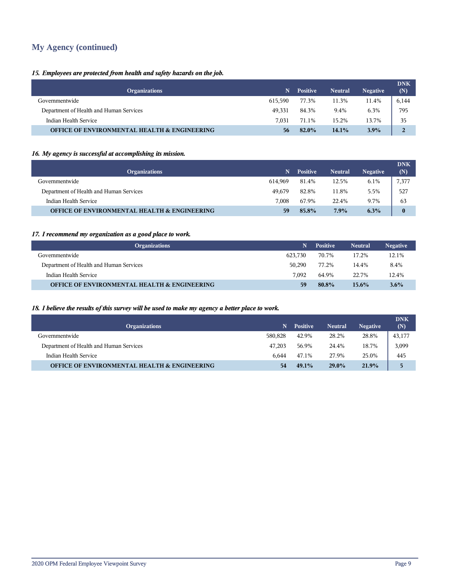# **My Agency (continued)**

#### *15. Employees are protected from health and safety hazards on the job.*

| <b>Organizations</b>                                    | N       | <b>Positive</b> | <b>Neutral</b> | Negative | <b>DNK</b><br>(N) |
|---------------------------------------------------------|---------|-----------------|----------------|----------|-------------------|
| Governmentwide                                          | 615.590 | 77.3%           | 11.3%          | 11.4%    | 6,144             |
| Department of Health and Human Services                 | 49,331  | 84.3%           | 9.4%           | 6.3%     | 795               |
| Indian Health Service                                   | 7.031   | 71.1%           | 15.2%          | 13.7%    | 35                |
| <b>OFFICE OF ENVIRONMENTAL HEALTH &amp; ENGINEERING</b> | 56      | 82.0%           | 14.1%          | 3.9%     | $\overline{2}$    |

#### *16. My agency is successful at accomplishing its mission.*

| <b>Organizations</b>                         |         | <b>Positive</b> | <b>Neutral</b> | <b>Negative</b> | <b>DNK</b><br>(N) |
|----------------------------------------------|---------|-----------------|----------------|-----------------|-------------------|
| Governmentwide                               | 614.969 | 81.4%           | 12.5%          | 6.1%            | 7,377             |
| Department of Health and Human Services      | 49.679  | 82.8%           | 11.8%          | 5.5%            | 527               |
| Indian Health Service                        | 7.008   | 67.9%           | 22.4%          | 9.7%            | 63                |
| OFFICE OF ENVIRONMENTAL HEALTH & ENGINEERING | 59      | 85.8%           | 7.9%           | 6.3%            | $\bf{0}$          |

#### *17. I recommend my organization as a good place to work.*

| <b>Organizations</b>                                    | N       | <b>Positive</b> | <b>Neutral</b> | <b>Negative</b> |
|---------------------------------------------------------|---------|-----------------|----------------|-----------------|
| Governmentwide                                          | 623.730 | 70.7%           | 17.2%          | 12.1%           |
| Department of Health and Human Services                 | 50,290  | 77.2%           | 14.4%          | 8.4%            |
| Indian Health Service                                   | 7.092   | 64.9%           | 22.7%          | 12.4%           |
| <b>OFFICE OF ENVIRONMENTAL HEALTH &amp; ENGINEERING</b> | 59      | 80.8%           | 15.6%          | $3.6\%$         |

#### *18. I believe the results of this survey will be used to make my agency a better place to work.*

| <b>Organizations</b>                         | N       | <b>Positive</b> | <b>Neutral</b> | <b>Negative</b> | <b>DNK</b><br>(N) |
|----------------------------------------------|---------|-----------------|----------------|-----------------|-------------------|
| Governmentwide                               | 580.828 | 42.9%           | 28.2%          | 28.8%           | 43,177            |
| Department of Health and Human Services      | 47.203  | 56.9%           | 24.4%          | 18.7%           | 3,099             |
| Indian Health Service                        | 6.644   | 47.1%           | 27.9%          | 25.0%           | 445               |
| OFFICE OF ENVIRONMENTAL HEALTH & ENGINEERING | 54      | $49.1\%$        | $29.0\%$       | 21.9%           |                   |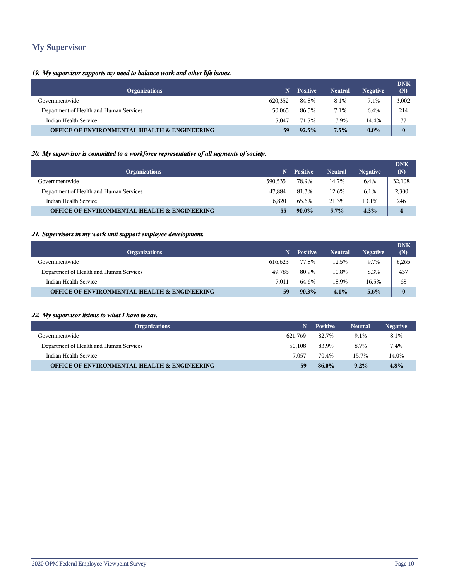# **My Supervisor**

#### *19. My supervisor supports my need to balance work and other life issues.*

|                                              | N       | <b>Positive</b> | Neutral | <b>Negative</b> | <b>DNK</b> |
|----------------------------------------------|---------|-----------------|---------|-----------------|------------|
| <b>Organizations</b>                         |         |                 |         |                 | (N)        |
| Governmentwide                               | 620,352 | 84.8%           | 8.1%    | 7.1%            | 3,002      |
| Department of Health and Human Services      | 50,065  | 86.5%           | 7.1%    | 6.4%            | 214        |
| Indian Health Service                        | 7.047   | 71.7%           | 13.9%   | 14.4%           | 37         |
| OFFICE OF ENVIRONMENTAL HEALTH & ENGINEERING | 59      | 92.5%           | 7.5%    | $0.0\%$         | $\bf{0}$   |

#### *20. My supervisor is committed to a workforce representative of all segments of society.*

| <b>Organizations</b>                         | N       | <b>Positive</b> | <b>Neutral</b> | <b>Negative</b> | <b>DNK</b><br>(N) |
|----------------------------------------------|---------|-----------------|----------------|-----------------|-------------------|
| Governmentwide                               | 590.535 | 78.9%           | 14.7%          | 6.4%            | 32,108            |
| Department of Health and Human Services      | 47.884  | 81.3%           | 12.6%          | 6.1%            | 2,300             |
| Indian Health Service                        | 6.820   | 65.6%           | 21.3%          | 13.1%           | 246               |
| OFFICE OF ENVIRONMENTAL HEALTH & ENGINEERING | 55      | $90.0\%$        | $5.7\%$        | $4.3\%$         |                   |

#### *21. Supervisors in my work unit support employee development.*

| <b>Organizations</b>                         | 'N.     | <b>Positive</b> | <b>Neutral</b> | <b>Negative</b> | <b>DNK</b><br>(N) |
|----------------------------------------------|---------|-----------------|----------------|-----------------|-------------------|
| Governmentwide                               | 616,623 | 77.8%           | 12.5%          | 9.7%            | 6,265             |
| Department of Health and Human Services      | 49.785  | 80.9%           | 10.8%          | 8.3%            | 437               |
| Indian Health Service                        | 7.011   | 64.6%           | 18.9%          | 16.5%           | 68                |
| OFFICE OF ENVIRONMENTAL HEALTH & ENGINEERING | 59      | $90.3\%$        | 4.1%           | $5.6\%$         | $\bf{0}$          |

#### *22. My supervisor listens to what I have to say.*

| <b>Organizations</b>                                    | N       | <b>Positive</b> | <b>Neutral</b> | <b>Negative</b> |
|---------------------------------------------------------|---------|-----------------|----------------|-----------------|
| Governmentwide                                          | 621.769 | 82.7%           | 9.1%           | 8.1%            |
| Department of Health and Human Services                 | 50.108  | 83.9%           | 8.7%           | 7.4%            |
| Indian Health Service                                   | 7.057   | 70.4%           | 15.7%          | 14.0%           |
| <b>OFFICE OF ENVIRONMENTAL HEALTH &amp; ENGINEERING</b> | 59      | $86.0\%$        | $9.2\%$        | 4.8%            |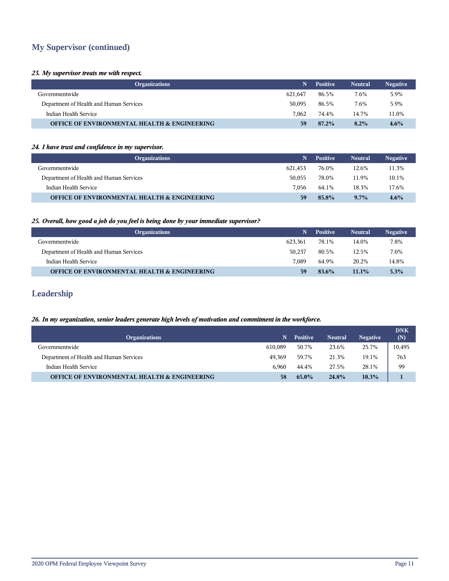# **My Supervisor (continued)**

#### *23. My supervisor treats me with respect.*

| <b>Organizations</b>                                    | N       | <b>Positive</b> | <b>Neutral</b> | <b>Negative</b> |
|---------------------------------------------------------|---------|-----------------|----------------|-----------------|
| Governmentwide                                          | 621.647 | 86.5%           | 7.6%           | 5.9%            |
| Department of Health and Human Services                 | 50.095  | 86.5%           | 7.6%           | 5.9%            |
| Indian Health Service                                   | 7.062   | 74.4%           | 14.7%          | 11.0%           |
| <b>OFFICE OF ENVIRONMENTAL HEALTH &amp; ENGINEERING</b> | 59      | 87.2%           | 8.2%           | $4.6\%$         |

#### *24. I have trust and confidence in my supervisor.*

| <b>Organizations</b>                         | N       | <b>Positive</b> | <b>Neutral</b> | <b>Negative</b> |
|----------------------------------------------|---------|-----------------|----------------|-----------------|
| Governmentwide                               | 621.453 | 76.0%           | 12.6%          | 11.3%           |
| Department of Health and Human Services      | 50.055  | 78.0%           | 11.9%          | 10.1%           |
| Indian Health Service                        | 7.056   | 64.1%           | 18.3%          | 17.6%           |
| OFFICE OF ENVIRONMENTAL HEALTH & ENGINEERING | 59      | 85.8%           | $9.7\%$        | 4.6%            |

#### *25. Overall, how good a job do you feel is being done by your immediate supervisor?*

| <b>Organizations</b>                         | N       | <b>Positive</b> | <b>Neutral</b> | <b>Negative</b> |
|----------------------------------------------|---------|-----------------|----------------|-----------------|
| Governmentwide                               | 623.361 | 78.1%           | 14.0%          | 7.8%            |
| Department of Health and Human Services      | 50,237  | 80.5%           | 12.5%          | 7.0%            |
| Indian Health Service                        | 7.089   | 64.9%           | 20.2%          | 14.8%           |
| OFFICE OF ENVIRONMENTAL HEALTH & ENGINEERING | 59      | 83.6%           | 11.1%          | 5.3%            |

## **Leadership**

#### *26. In my organization, senior leaders generate high levels of motivation and commitment in the workforce.*

| <b>Organizations</b>                         | N       | <b>Positive</b> | <b>Neutral</b> | <b>Negative</b> | <b>DNK</b><br>(N) |
|----------------------------------------------|---------|-----------------|----------------|-----------------|-------------------|
| Governmentwide                               | 610.089 | 50.7%           | 23.6%          | 25.7%           | 10,495            |
| Department of Health and Human Services      | 49.369  | 59.7%           | 21.3%          | 19.1%           | 763               |
| Indian Health Service                        | 6.960   | 44.4%           | 27.5%          | 28.1%           | 99                |
| OFFICE OF ENVIRONMENTAL HEALTH & ENGINEERING | 58      | 65.0%           | 24.8%          | 10.3%           |                   |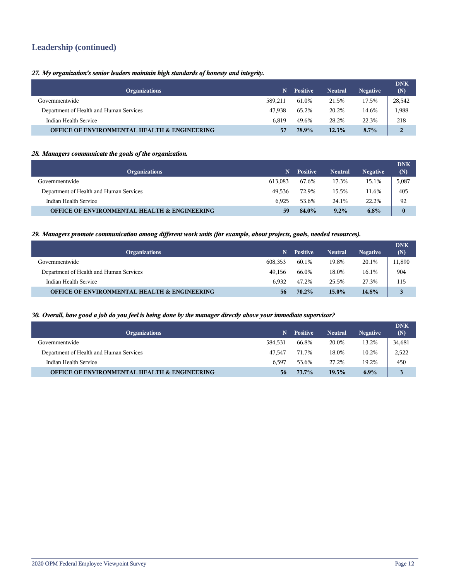# **Leadership (continued)**

#### *27. My organization's senior leaders maintain high standards of honesty and integrity.*

| <b>Organizations</b>                                    | N       | <b>Positive</b> | <b>Neutral</b> | <b>Negative</b> | <b>DNK</b><br>(N) |
|---------------------------------------------------------|---------|-----------------|----------------|-----------------|-------------------|
| Governmentwide                                          | 589.211 | 61.0%           | 21.5%          | 17.5%           | 28,542            |
| Department of Health and Human Services                 | 47.938  | 65.2%           | 20.2%          | 14.6%           | 1,988             |
| Indian Health Service                                   | 6.819   | 49.6%           | 28.2%          | 22.3%           | 218               |
| <b>OFFICE OF ENVIRONMENTAL HEALTH &amp; ENGINEERING</b> | 57      | 78.9%           | 12.3%          | $8.7\%$         |                   |

#### *28. Managers communicate the goals of the organization.*

| <b>Organizations</b>                                    | N.      | <b>Positive</b> | <b>Neutral</b> | Negative | <b>DNK</b><br>(N) |
|---------------------------------------------------------|---------|-----------------|----------------|----------|-------------------|
| Governmentwide                                          | 613.083 | 67.6%           | 17.3%          | 15.1%    | 5,087             |
| Department of Health and Human Services                 | 49.536  | 72.9%           | 15.5%          | 11.6%    | 405               |
| Indian Health Service                                   | 6.925   | 53.6%           | 24.1%          | 22.2%    | 92                |
| <b>OFFICE OF ENVIRONMENTAL HEALTH &amp; ENGINEERING</b> | 59      | 84.0%           | $9.2\%$        | 6.8%     | $\bf{0}$          |

#### *29. Managers promote communication among different work units (for example, about projects, goals, needed resources).*

| <b>Organizations</b>                         | N       | <b>Positive</b> | <b>Neutral</b> | <b>Negative</b> | <b>DNK</b><br>(N) |
|----------------------------------------------|---------|-----------------|----------------|-----------------|-------------------|
| Governmentwide                               | 608.353 | 60.1%           | 19.8%          | 20.1%           | 11,890            |
| Department of Health and Human Services      | 49.156  | 66.0%           | 18.0%          | 16.1%           | 904               |
| Indian Health Service                        | 6.932   | 47.2%           | 25.5%          | 27.3%           | 115               |
| OFFICE OF ENVIRONMENTAL HEALTH & ENGINEERING | 56      | $70.2\%$        | 15.0%          | 14.8%           |                   |

#### *30. Overall, how good a job do you feel is being done by the manager directly above your immediate supervisor?*

| <b>Organizations</b>                         | N       | <b>Positive</b> | <b>Neutral</b> | <b>Negative</b> | <b>DNK</b><br>(N) |
|----------------------------------------------|---------|-----------------|----------------|-----------------|-------------------|
| Governmentwide                               | 584.531 | 66.8%           | 20.0%          | 13.2%           | 34,681            |
| Department of Health and Human Services      | 47.547  | 71.7%           | 18.0%          | 10.2%           | 2,522             |
| Indian Health Service                        | 6.597   | 53.6%           | 27.2%          | 19.2%           | 450               |
| OFFICE OF ENVIRONMENTAL HEALTH & ENGINEERING | 56      | $73.7\%$        | 19.5%          | 6.9%            |                   |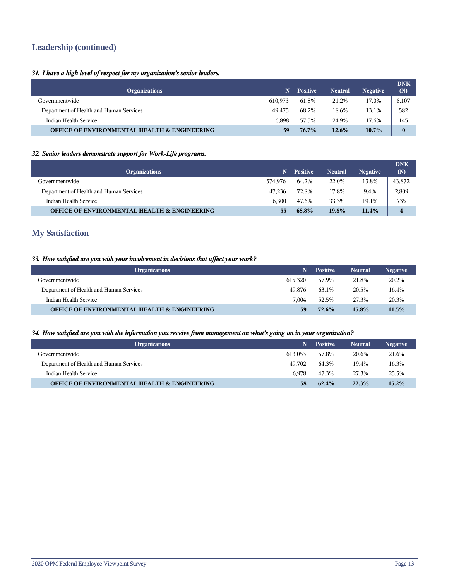# **Leadership (continued)**

#### *31. I have a high level of respect for my organization's senior leaders.*

|                                              |         |                 |                |                 | <b>DNK</b> |
|----------------------------------------------|---------|-----------------|----------------|-----------------|------------|
| <b>Organizations</b>                         | N       | <b>Positive</b> | <b>Neutral</b> | <b>Negative</b> | (N)        |
| Governmentwide                               | 610.973 | 61.8%           | 21.2%          | 17.0%           | 8,107      |
| Department of Health and Human Services      | 49,475  | 68.2%           | 18.6%          | 13.1%           | 582        |
| Indian Health Service                        | 6.898   | 57.5%           | 24.9%          | 17.6%           | 145        |
| OFFICE OF ENVIRONMENTAL HEALTH & ENGINEERING | 59      | $76.7\%$        | $12.6\%$       | $10.7\%$        | $\bf{0}$   |

#### *32. Senior leaders demonstrate support for Work-Life programs.*

| <b>Organizations</b>                         | N       | <b>Positive</b> | <b>Neutral</b> | <b>Negative</b> | <b>DNK</b><br>(N) |
|----------------------------------------------|---------|-----------------|----------------|-----------------|-------------------|
| Governmentwide                               | 574.976 | 64.2%           | 22.0%          | 13.8%           | 43,872            |
| Department of Health and Human Services      | 47.236  | 72.8%           | 17.8%          | 9.4%            | 2,809             |
| Indian Health Service                        | 6.300   | 47.6%           | 33.3%          | 19.1%           | 735               |
| OFFICE OF ENVIRONMENTAL HEALTH & ENGINEERING | 55      | 68.8%           | 19.8%          | 11.4%           | 4                 |

# **My Satisfaction**

#### *33. How satisfied are you with your involvement in decisions that affect your work?*

| <b>Organizations</b>                                    | N       | <b>Positive</b> | <b>Neutral</b> | <b>Negative</b> |
|---------------------------------------------------------|---------|-----------------|----------------|-----------------|
| Governmentwide                                          | 615.320 | 57.9%           | 21.8%          | 20.2%           |
| Department of Health and Human Services                 | 49.876  | 63.1%           | 20.5%          | 16.4%           |
| Indian Health Service                                   | 7.004   | 52.5%           | 27.3%          | 20.3%           |
| <b>OFFICE OF ENVIRONMENTAL HEALTH &amp; ENGINEERING</b> | 59      | 72.6%           | 15.8%          | 11.5%           |

#### *34. How satisfied are you with the information you receive from management on what's going on in your organization?*

| <b>Organizations</b>                                    | N       | <b>Positive</b> | <b>Neutral</b> | <b>Negative</b> |
|---------------------------------------------------------|---------|-----------------|----------------|-----------------|
| Governmentwide                                          | 613.053 | 57.8%           | 20.6%          | 21.6%           |
| Department of Health and Human Services                 | 49.702  | 64.3%           | 19.4%          | 16.3%           |
| Indian Health Service                                   | 6.978   | 47.3%           | 27.3%          | 25.5%           |
| <b>OFFICE OF ENVIRONMENTAL HEALTH &amp; ENGINEERING</b> | 58      | $62.4\%$        | 22.3%          | 15.2%           |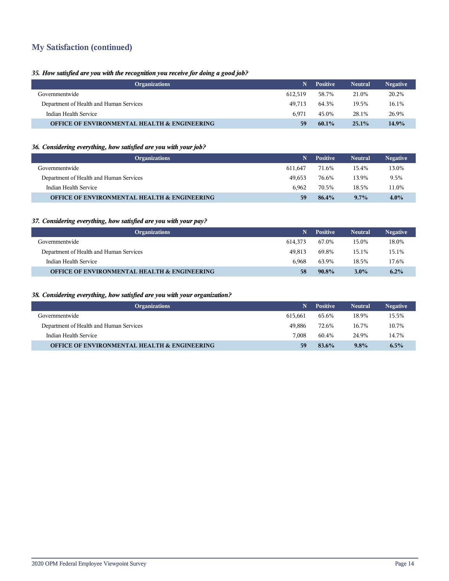# **My Satisfaction (continued)**

#### *35. How satisfied are you with the recognition you receive for doing a good job?*

| <b>Organizations</b>                                    | N       | <b>Positive</b> | <b>Neutral</b> | <b>Negative</b> |
|---------------------------------------------------------|---------|-----------------|----------------|-----------------|
| Governmentwide                                          | 612.519 | 58.7%           | 21.0%          | 20.2%           |
| Department of Health and Human Services                 | 49.713  | 64.3%           | 19.5%          | 16.1%           |
| Indian Health Service                                   | 6.971   | 45.0%           | 28.1%          | 26.9%           |
| <b>OFFICE OF ENVIRONMENTAL HEALTH &amp; ENGINEERING</b> | 59      | $60.1\%$        | $25.1\%$       | 14.9%           |

#### *36. Considering everything, how satisfied are you with your job?*

| <b>Organizations</b>                         | N       | <b>Positive</b> | <b>Neutral</b> | <b>Negative</b> |
|----------------------------------------------|---------|-----------------|----------------|-----------------|
| Governmentwide                               | 611.647 | 71.6%           | 15.4%          | 13.0%           |
| Department of Health and Human Services      | 49.653  | 76.6%           | 13.9%          | 9.5%            |
| Indian Health Service                        | 6.962   | 70.5%           | 18.5%          | 11.0%           |
| OFFICE OF ENVIRONMENTAL HEALTH & ENGINEERING | 59      | 86.4%           | $9.7\%$        | $4.0\%$         |

#### *37. Considering everything, how satisfied are you with your pay?*

| <b>Organizations</b>                                    |         | <b>Positive</b> | <b>Neutral</b> | <b>Negative</b> |
|---------------------------------------------------------|---------|-----------------|----------------|-----------------|
| Governmentwide                                          | 614.373 | 67.0%           | 15.0%          | 18.0%           |
| Department of Health and Human Services                 | 49.813  | 69.8%           | 15.1%          | 15.1%           |
| Indian Health Service                                   | 6.968   | 63.9%           | 18.5%          | 17.6%           |
| <b>OFFICE OF ENVIRONMENTAL HEALTH &amp; ENGINEERING</b> | 58      | $90.8\%$        | $3.0\%$        | 6.2%            |

#### *38. Considering everything, how satisfied are you with your organization?*

| <b>Organizations</b>                         | N.      | <b>Positive</b> | <b>Neutral</b> | <b>Negative</b> |
|----------------------------------------------|---------|-----------------|----------------|-----------------|
| Governmentwide                               | 615.661 | 65.6%           | 18.9%          | 15.5%           |
| Department of Health and Human Services      | 49.886  | 72.6%           | 16.7%          | 10.7%           |
| Indian Health Service                        | 7.008   | 60.4%           | 24.9%          | 14.7%           |
| OFFICE OF ENVIRONMENTAL HEALTH & ENGINEERING | 59      | 83.6%           | $9.8\%$        | $6.5\%$         |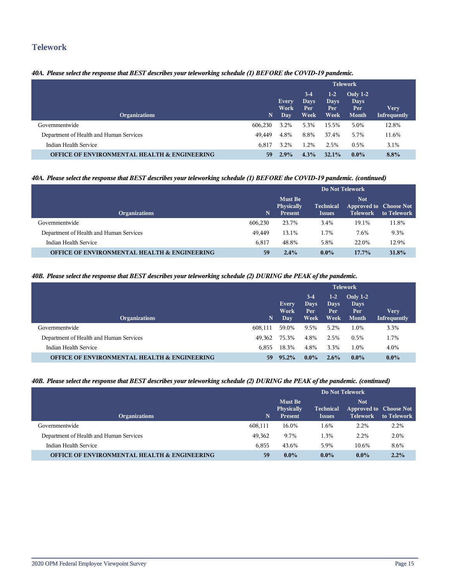# **Telework**

#### *40A. Please select the response that BEST describes your teleworking schedule (1) BEFORE the COVID-19 pandemic.*

|                                                         |         | <b>Telework</b>                    |                              |                              |                                                  |                                    |
|---------------------------------------------------------|---------|------------------------------------|------------------------------|------------------------------|--------------------------------------------------|------------------------------------|
| <b>Organizations</b>                                    | N       | <b>Every</b><br>Work<br><b>Day</b> | $3-4$<br>Days<br>Per<br>Week | $1-2$<br>Days<br>Per<br>Week | Only $1-2$<br><b>Days</b><br>Per<br><b>Month</b> | <b>Very</b><br><b>Infrequently</b> |
| Governmentwide                                          | 606.230 | 3.2%                               | 5.3%                         | 15.5%                        | 5.0%                                             | 12.8%                              |
| Department of Health and Human Services                 | 49,449  | 4.8%                               | 8.8%                         | 37.4%                        | 5.7%                                             | 11.6%                              |
| Indian Health Service                                   | 6,817   | $3.2\%$                            | 1.2%                         | 2.5%                         | 0.5%                                             | $3.1\%$                            |
| <b>OFFICE OF ENVIRONMENTAL HEALTH &amp; ENGINEERING</b> | 59      | 2.9%                               | 4.3%                         | 32.1%                        | $0.0\%$                                          | 8.8%                               |

#### *40A. Please select the response that BEST describes your teleworking schedule (1) BEFORE the COVID-19 pandemic. (continued)*

|                                              |         | Do Not Telework                                |                                   |                               |                                              |  |  |
|----------------------------------------------|---------|------------------------------------------------|-----------------------------------|-------------------------------|----------------------------------------------|--|--|
| <b>Organizations</b>                         | N.      | <b>Must Be</b><br><b>Physically</b><br>Present | <b>Technical</b><br><b>Issues</b> | <b>Not</b><br><b>Telework</b> | <b>Approved to Choose Not</b><br>to Telework |  |  |
| Governmentwide                               | 606.230 | 23.7%                                          | $3.4\%$                           | 19.1%                         | 11.8%                                        |  |  |
| Department of Health and Human Services      | 49.449  | 13.1%                                          | 1.7%                              | 7.6%                          | 9.3%                                         |  |  |
| Indian Health Service                        | 6.817   | 48.8%                                          | 5.8%                              | 22.0%                         | 12.9%                                        |  |  |
| OFFICE OF ENVIRONMENTAL HEALTH & ENGINEERING | 59      | $2.4\%$                                        | $0.0\%$                           | $17.7\%$                      | 31.8%                                        |  |  |

#### *40B. Please select the response that BEST describes your teleworking schedule (2) DURING the PEAK of the pandemic.*

|                                                         |             | <b>Telework</b>       |                              |                               |                                           |                                    |
|---------------------------------------------------------|-------------|-----------------------|------------------------------|-------------------------------|-------------------------------------------|------------------------------------|
| <b>Organizations</b>                                    | $\mathbf N$ | Every<br>Work<br>Day. | $3-4$<br>Days<br>Per<br>Week | $1-2$<br>Days<br>Per:<br>Week | Only $1-2$<br>Days<br>Per<br><b>Month</b> | <b>Very</b><br><b>Infrequently</b> |
| Governmentwide                                          | 608.111     | 59.0%                 | 9.5%                         | 5.2%                          | 1.0%                                      | 3.3%                               |
| Department of Health and Human Services                 | 49,362      | 75.3%                 | 4.8%                         | 2.5%                          | 0.5%                                      | 1.7%                               |
| Indian Health Service                                   | 6.855       | 18.3%                 | 4.8%                         | 3.3%                          | 1.0%                                      | 4.0%                               |
| <b>OFFICE OF ENVIRONMENTAL HEALTH &amp; ENGINEERING</b> | 59          | $95.2\%$              | $0.0\%$                      | $2.6\%$                       | $0.0\%$                                   | $0.0\%$                            |

#### *40B. Please select the response that BEST describes your teleworking schedule (2) DURING the PEAK of the pandemic. (continued)*

|                                              |         | Do Not Telework              |                  |                                |             |  |  |
|----------------------------------------------|---------|------------------------------|------------------|--------------------------------|-------------|--|--|
|                                              |         | <b>Must Be</b><br>Physically | <b>Technical</b> | Not.<br>Approved to Choose Not |             |  |  |
| <b>Organizations</b>                         | N       | Present                      | <b>Issues</b>    | <b>Telework</b>                | to Telework |  |  |
| Governmentwide                               | 608,111 | 16.0%                        | l.6%             | 2.2%                           | 2.2%        |  |  |
| Department of Health and Human Services      | 49.362  | 9.7%                         | 1.3%             | 2.2%                           | 2.0%        |  |  |
| Indian Health Service                        | 6.855   | 43.6%                        | 5.9%             | 10.6%                          | 8.6%        |  |  |
| OFFICE OF ENVIRONMENTAL HEALTH & ENGINEERING | 59      | $0.0\%$                      | $0.0\%$          | $0.0\%$                        | 2.2%        |  |  |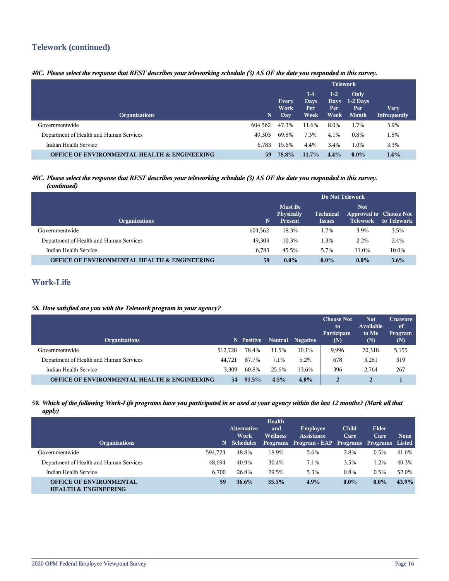# **Telework (continued)**

#### *40C. Please select the response that BEST describes your teleworking schedule (3) AS OF the date you responded to this survey.*

|                                              |             | <b>Telework</b>             |                                     |                               |                                           |                             |
|----------------------------------------------|-------------|-----------------------------|-------------------------------------|-------------------------------|-------------------------------------------|-----------------------------|
| <b>Organizations</b>                         | $\mathbf N$ | Every<br>Work<br><b>Day</b> | $3-4$<br><b>Days</b><br>Per<br>Week | $1-2$<br>Days<br>Per.<br>Week | Only<br>$1-2$ Days<br>Per<br><b>Month</b> | <b>Very</b><br>Infrequently |
| Governmentwide                               | 604.562     | 47.3%                       | 11.6%                               | 8.0%                          | 1.7%                                      | 3.9%                        |
| Department of Health and Human Services      | 49,303      | 69.8%                       | 7.3%                                | 4.1%                          | 0.8%                                      | 1.8%                        |
| Indian Health Service                        | 6.783       | 15.6%                       | 4.4%                                | 3.4%                          | 1.0%                                      | 3.3%                        |
| OFFICE OF ENVIRONMENTAL HEALTH & ENGINEERING | 59          | 78.8%                       | $11.7\%$                            | 4.4%                          | $0.0\%$                                   | 1.4%                        |

#### *40C. Please select the response that BEST describes your teleworking schedule (3) AS OF the date you responded to this survey. (continued)*

|                                              | Do Not Telework |                                                |                                   |                                                   |             |  |  |
|----------------------------------------------|-----------------|------------------------------------------------|-----------------------------------|---------------------------------------------------|-------------|--|--|
| <b>Organizations</b>                         | 'N.             | <b>Must Be</b><br>Physically<br><b>Present</b> | <b>Technical</b><br><b>Issues</b> | Not.<br>Approved to Choose Not<br><b>Telework</b> | to Telework |  |  |
| Governmentwide                               | 604.562         | 18.3%                                          | 1.7%                              | 3.9%                                              | 3.5%        |  |  |
| Department of Health and Human Services      | 49,303          | 10.3%                                          | 1.3%                              | 2.2%                                              | 2.4%        |  |  |
| Indian Health Service                        | 6.783           | 45.5%                                          | 5.7%                              | 11.0%                                             | 10.0%       |  |  |
| OFFICE OF ENVIRONMENTAL HEALTH & ENGINEERING | 59              | $0.0\%$                                        | $0.0\%$                           | $0.0\%$                                           | 3.6%        |  |  |

## **Work-Life**

#### *58. How satisfied are you with the Telework program in your agency?*

| <b>Organizations</b>                         |         | N Positive |       | <b>Neutral</b> Negative | <b>Choose Not</b><br>to<br>Participate<br>(N) | <b>Not</b><br><b>Available</b><br>to Me<br>(N) | <b>Unaware</b><br>of<br>Program<br>(N) |
|----------------------------------------------|---------|------------|-------|-------------------------|-----------------------------------------------|------------------------------------------------|----------------------------------------|
| Governmentwide                               | 512.728 | 78.4%      | 11.5% | 10.1%                   | 9,996                                         | 70,318                                         | 5,155                                  |
| Department of Health and Human Services      | 44.721  | 87.7%      | 7.1%  | 5.2%                    | 678                                           | 3,281                                          | 319                                    |
| Indian Health Service                        | 3.309   | 60.8%      | 25.6% | 13.6%                   | 396                                           | 2.764                                          | 267                                    |
| OFFICE OF ENVIRONMENTAL HEALTH & ENGINEERING | 54      | $91.5\%$   | 4.5%  | $4.0\%$                 | $\overline{2}$                                |                                                |                                        |

#### *59. Which of the following Work-Life programs have you participated in or used at your agency within the last 12 months? (Mark all that apply)*

| <b>Organizations</b>                                              |         | <b>Alternative</b><br>Work<br>N Schedules | <b>Health</b><br>and<br>Wellness | Employee<br><b>Assistance</b><br>Programs Program - EAP Programs Programs Listed | <b>Child</b><br>Care | Elder<br>Care | <b>None</b> |
|-------------------------------------------------------------------|---------|-------------------------------------------|----------------------------------|----------------------------------------------------------------------------------|----------------------|---------------|-------------|
| Governmentwide                                                    | 594.723 | 48.8%                                     | 18.9%                            | 5.6%                                                                             | 2.8%                 | 0.5%          | 41.6%       |
| Department of Health and Human Services                           | 48.694  | 40.9%                                     | 30.4%                            | 7.1%                                                                             | 3.5%                 | 1.2%          | 40.3%       |
| Indian Health Service                                             | 6.700   | 26.8%                                     | 29.5%                            | 5.3%                                                                             | 0.8%                 | 0.5%          | 52.0%       |
| <b>OFFICE OF ENVIRONMENTAL</b><br><b>HEALTH &amp; ENGINEERING</b> | 59      | 36.6%                                     | 35.5%                            | $4.9\%$                                                                          | $0.0\%$              | $0.0\%$       | 43.9%       |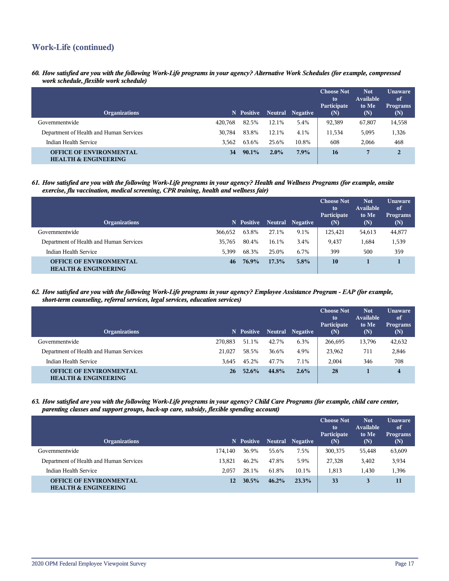# **Work-Life (continued)**

*60. How satisfied are you with the following Work-Life programs in your agency? Alternative Work Schedules (for example, compressed work schedule, flexible work schedule)*

| <b>Organizations</b>                                              |         | N Positive |         | <b>Neutral Negative</b> | <b>Choose Not</b><br>to<br>Participate<br>(N) | <b>Not</b><br><b>Available</b><br>to Me<br>(N) | <b>Unaware</b><br>of of $\overline{a}$<br><b>Programs</b><br>(N) |
|-------------------------------------------------------------------|---------|------------|---------|-------------------------|-----------------------------------------------|------------------------------------------------|------------------------------------------------------------------|
| Governmentwide                                                    | 420.768 | 82.5%      | 12.1%   | 5.4%                    | 92,389                                        | 67,807                                         | 14,558                                                           |
| Department of Health and Human Services                           | 30,784  | 83.8%      | 12.1%   | 4.1%                    | 11,534                                        | 5,095                                          | 1,326                                                            |
| Indian Health Service                                             | 3.562   | 63.6%      | 25.6%   | 10.8%                   | 608                                           | 2,066                                          | 468                                                              |
| <b>OFFICE OF ENVIRONMENTAL</b><br><b>HEALTH &amp; ENGINEERING</b> | 34      | $90.1\%$   | $2.0\%$ | 7.9%                    | <b>16</b>                                     | 7                                              | $\overline{2}$                                                   |

*61. How satisfied are you with the following Work-Life programs in your agency? Health and Wellness Programs (for example, onsite exercise, flu vaccination, medical screening, CPR training, health and wellness fair)*

| <b>Organizations</b>                                              |         | N Positive |       | <b>Neutral Negative</b> | <b>Choose Not</b><br>to<br>Participate<br>(N) | <b>Not</b><br><b>Available</b><br>to Me<br>(N) | <b>Unaware</b><br>of<br>Programs<br>(N) |
|-------------------------------------------------------------------|---------|------------|-------|-------------------------|-----------------------------------------------|------------------------------------------------|-----------------------------------------|
| Governmentwide                                                    | 366.652 | 63.8%      | 27.1% | 9.1%                    | 125,421                                       | 54,613                                         | 44,877                                  |
| Department of Health and Human Services                           | 35.765  | 80.4%      | 16.1% | 3.4%                    | 9,437                                         | 1,684                                          | 1,539                                   |
| Indian Health Service                                             | 5.399   | 68.3%      | 25.0% | 6.7%                    | 399                                           | 500                                            | 359                                     |
| <b>OFFICE OF ENVIRONMENTAL</b><br><b>HEALTH &amp; ENGINEERING</b> | 46      | 76.9%      | 17.3% | 5.8%                    | 10                                            |                                                |                                         |

*62. How satisfied are you with the following Work-Life programs in your agency? Employee Assistance Program - EAP (for example, short-term counseling, referral services, legal services, education services)*

| <b>Organizations</b>                                              |         | N Positive |       | Neutral Negative | <b>Choose Not</b><br>to<br>Participate<br>(N) | <b>Not</b><br><b>Available</b><br>to Me<br>(N) | <b>Unaware</b><br>of<br><b>Programs</b><br>(N) |
|-------------------------------------------------------------------|---------|------------|-------|------------------|-----------------------------------------------|------------------------------------------------|------------------------------------------------|
| Governmentwide                                                    | 270.883 | 51.1%      | 42.7% | 6.3%             | 266,695                                       | 13,796                                         | 42,632                                         |
| Department of Health and Human Services                           | 21,027  | 58.5%      | 36.6% | 4.9%             | 23,962                                        | 711                                            | 2,846                                          |
| Indian Health Service                                             | 3.645   | 45.2%      | 47.7% | 7.1%             | 2.004                                         | 346                                            | 708                                            |
| <b>OFFICE OF ENVIRONMENTAL</b><br><b>HEALTH &amp; ENGINEERING</b> | 26      | 52.6%      | 44.8% | $2.6\%$          | 28                                            |                                                | $\overline{\mathbf{4}}$                        |

*<sup>63.</sup> How satisfied are you with the following Work-Life programs in your agency? Child Care Programs (for example, child care center, parenting classes and support groups, back-up care, subsidy, flexible spending account)*

| <b>Organizations</b>                                              |         |          |       | N Positive Neutral Negative | <b>Choose Not</b><br>to<br>Participate<br>(N) | <b>Not</b><br><b>Available</b><br>to Me<br>(N) | Unaware<br>of.<br><b>Programs</b><br>(N) |
|-------------------------------------------------------------------|---------|----------|-------|-----------------------------|-----------------------------------------------|------------------------------------------------|------------------------------------------|
| Governmentwide                                                    | 174.140 | 36.9%    | 55.6% | 7.5%                        | 300,375                                       | 55,448                                         | 63,609                                   |
| Department of Health and Human Services                           | 13,821  | 46.2%    | 47.8% | 5.9%                        | 27,328                                        | 3,402                                          | 3,934                                    |
| Indian Health Service                                             | 2.057   | 28.1%    | 61.8% | 10.1%                       | 1,813                                         | 1,430                                          | 1,396                                    |
| <b>OFFICE OF ENVIRONMENTAL</b><br><b>HEALTH &amp; ENGINEERING</b> | 12      | $30.5\%$ | 46.2% | 23.3%                       | 33                                            | 3                                              | 11                                       |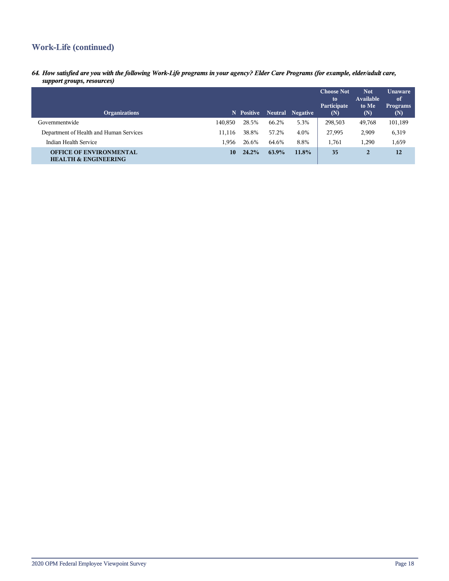# **Work-Life (continued)**

*64. How satisfied are you with the following Work-Life programs in your agency? Elder Care Programs (for example, elder/adult care, support groups, resources)*

| <b>Organizations</b>                                              |         | N Positive |       | <b>Neutral</b> Negative | <b>Choose Not</b><br>to<br>Participate<br>(N) | <b>Not</b><br>Available<br>to Me<br>(N) | <b>Unaware</b><br>of<br><b>Programs</b><br>(N) |
|-------------------------------------------------------------------|---------|------------|-------|-------------------------|-----------------------------------------------|-----------------------------------------|------------------------------------------------|
| Governmentwide                                                    | 140.850 | 28.5%      | 66.2% | 5.3%                    | 298,503                                       | 49,768                                  | 101,189                                        |
| Department of Health and Human Services                           | 11.116  | 38.8%      | 57.2% | 4.0%                    | 27,995                                        | 2.909                                   | 6,319                                          |
| Indian Health Service                                             | 1.956   | 26.6%      | 64.6% | 8.8%                    | 1,761                                         | 1,290                                   | 1,659                                          |
| <b>OFFICE OF ENVIRONMENTAL</b><br><b>HEALTH &amp; ENGINEERING</b> | 10      | 24.2%      | 63.9% | 11.8%                   | 35                                            | $\overline{2}$                          | 12                                             |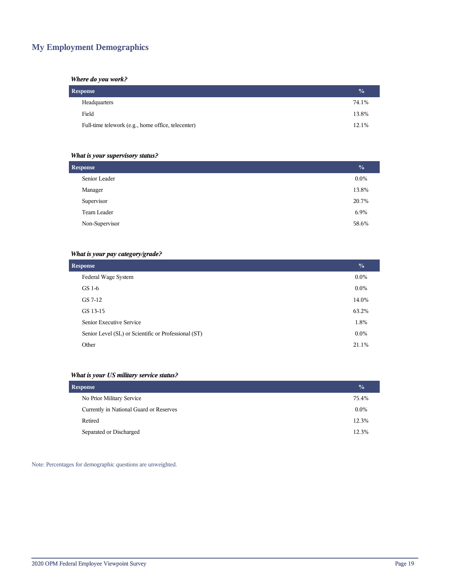# **My Employment Demographics**

#### *Where do you work?*

| Response                                           |       |  |  |  |  |
|----------------------------------------------------|-------|--|--|--|--|
| Headquarters                                       | 74.1% |  |  |  |  |
| Field                                              | 13.8% |  |  |  |  |
| Full-time telework (e.g., home office, telecenter) | 12.1% |  |  |  |  |

#### *What is your supervisory status?*

| <b>Response</b> | $\frac{6}{6}$<br>$0.0\%$ |
|-----------------|--------------------------|
|                 |                          |
| Senior Leader   |                          |
| Manager         | 13.8%                    |
| Supervisor      | 20.7%                    |
| Team Leader     | 6.9%                     |
| Non-Supervisor  | 58.6%                    |

#### *What is your pay category/grade?*

| <b>Response</b>                                      |         |  |  |  |  |
|------------------------------------------------------|---------|--|--|--|--|
| Federal Wage System                                  | $0.0\%$ |  |  |  |  |
| GS 1-6                                               | $0.0\%$ |  |  |  |  |
| GS 7-12                                              | 14.0%   |  |  |  |  |
| GS 13-15                                             | 63.2%   |  |  |  |  |
| Senior Executive Service                             | 1.8%    |  |  |  |  |
| Senior Level (SL) or Scientific or Professional (ST) | $0.0\%$ |  |  |  |  |
| Other                                                | 21.1%   |  |  |  |  |

#### *What is your US military service status?*

| Response                                |         |  |  |
|-----------------------------------------|---------|--|--|
| No Prior Military Service               | 75.4%   |  |  |
| Currently in National Guard or Reserves | $0.0\%$ |  |  |
| Retired                                 | 12.3%   |  |  |
| Separated or Discharged                 | 12.3%   |  |  |

Note: Percentages for demographic questions are unweighted.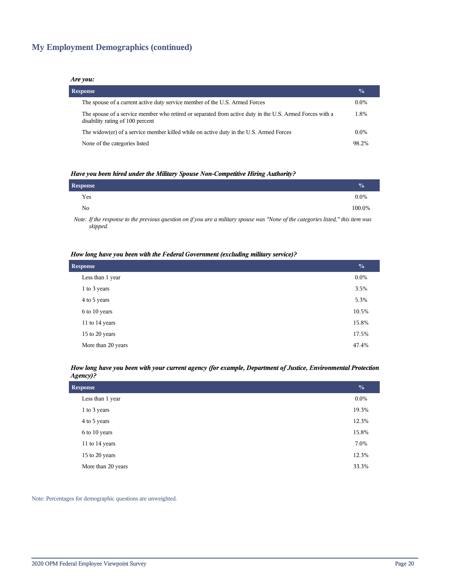# **My Employment Demographics (continued)**

#### *Are you:*

| <b>Response</b>                                                                                                                              | $\frac{0}{0}$ |
|----------------------------------------------------------------------------------------------------------------------------------------------|---------------|
| The spouse of a current active duty service member of the U.S. Armed Forces                                                                  | $0.0\%$       |
| The spouse of a service member who retired or separated from active duty in the U.S. Armed Forces with a<br>disability rating of 100 percent | 1.8%          |
| The widow(er) of a service member killed while on active duty in the U.S. Armed Forces                                                       | $0.0\%$       |
| None of the categories listed                                                                                                                | 98.2%         |

#### *Have you been hired under the Military Spouse Non-Competitive Hiring Authority?*

| Response |                                                                                                                  |  |          |  | $\frac{0}{0}$ |
|----------|------------------------------------------------------------------------------------------------------------------|--|----------|--|---------------|
| Yes      |                                                                                                                  |  |          |  | $0.0\%$       |
| No       |                                                                                                                  |  |          |  | 100.0%        |
| .        | rangement in the contract of the contract of the contract of the contract of the contract of the contract of the |  | $\cdots$ |  |               |

*Note: If the response to the previous question on if you are a military spouse was "None of the categories listed," this item was skipped.*

#### *How long have you been with the Federal Government (excluding military service)?*

| Response           |         |
|--------------------|---------|
| Less than 1 year   | $0.0\%$ |
| 1 to 3 years       | 3.5%    |
| 4 to 5 years       | 5.3%    |
| 6 to 10 years      | 10.5%   |
| 11 to 14 years     | 15.8%   |
| 15 to 20 years     | 17.5%   |
| More than 20 years | 47.4%   |

#### *How long have you been with your current agency (for example, Department of Justice, Environmental Protection Agency)?*

| <b>Response</b>    |         |  |
|--------------------|---------|--|
| Less than 1 year   | $0.0\%$ |  |
| 1 to 3 years       | 19.3%   |  |
| 4 to 5 years       | 12.3%   |  |
| 6 to 10 years      | 15.8%   |  |
| 11 to 14 years     | 7.0%    |  |
| 15 to 20 years     | 12.3%   |  |
| More than 20 years | 33.3%   |  |

Note: Percentages for demographic questions are unweighted.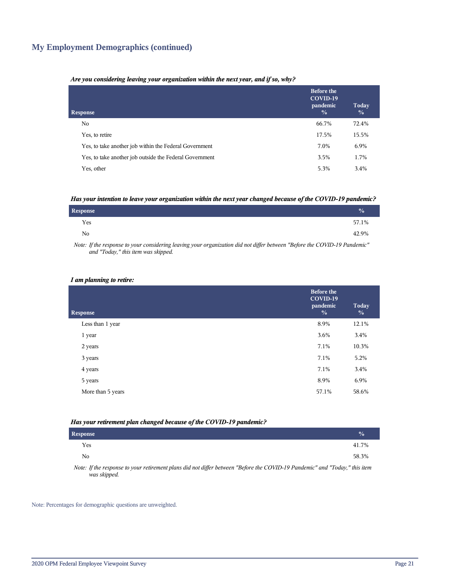# **My Employment Demographics (continued)**

#### *Are you considering leaving your organization within the next year, and if so, why?*

| <b>Response</b>                                         | <b>Before the</b><br>COVID-19<br>pandemic<br>$\frac{0}{0}$ | Today<br>$\frac{0}{0}$ |
|---------------------------------------------------------|------------------------------------------------------------|------------------------|
| No.                                                     | 66.7%                                                      | 72.4%                  |
| Yes, to retire                                          | 17.5%                                                      | 15.5%                  |
| Yes, to take another job within the Federal Government  | 7.0%                                                       | 6.9%                   |
| Yes, to take another job outside the Federal Government | 3.5%                                                       | 1.7%                   |
| Yes, other                                              | 5.3%                                                       | 3.4%                   |

#### *Has your intention to leave your organization within the next year changed because of the COVID-19 pandemic?*

| Response | $\frac{0}{0}$ |
|----------|---------------|
| Yes      | 57.1%         |
| No       | 42.9%         |

*Note: If the response to your considering leaving your organization did not differ between "Before the COVID-19 Pandemic" and "Today," this item was skipped.*

#### *I am planning to retire:*

| <b>Response</b>   | <b>Before the</b><br>COVID-19<br>pandemic<br>$\frac{0}{0}$ | Today<br>$\frac{0}{0}$ |
|-------------------|------------------------------------------------------------|------------------------|
| Less than 1 year  | 8.9%                                                       | 12.1%                  |
| 1 year            | 3.6%                                                       | 3.4%                   |
| 2 years           | 7.1%                                                       | 10.3%                  |
| 3 years           | 7.1%                                                       | 5.2%                   |
| 4 years           | 7.1%                                                       | 3.4%                   |
| 5 years           | 8.9%                                                       | 6.9%                   |
| More than 5 years | 57.1%                                                      | 58.6%                  |
|                   |                                                            |                        |

#### *Has your retirement plan changed because of the COVID-19 pandemic?*

| <b>Response</b> |                                                                                                                                                                                                                                        |  |  |  |  |  | $\frac{0}{0}$ |  |
|-----------------|----------------------------------------------------------------------------------------------------------------------------------------------------------------------------------------------------------------------------------------|--|--|--|--|--|---------------|--|
| Yes             |                                                                                                                                                                                                                                        |  |  |  |  |  | 41.7%         |  |
| N <sub>0</sub>  |                                                                                                                                                                                                                                        |  |  |  |  |  | 58.3%         |  |
| $\mathbf{v}$    | $\mathcal{L}$ , and the same is the control of $\mathcal{L}$ . The same is the same in the same in the same is the same in the same in the same in the same in the same in the same in the same in the same in the same in the same in |  |  |  |  |  |               |  |

*Note: If the response to your retirement plans did not differ between "Before the COVID-19 Pandemic" and "Today," this item was skipped.*

Note: Percentages for demographic questions are unweighted.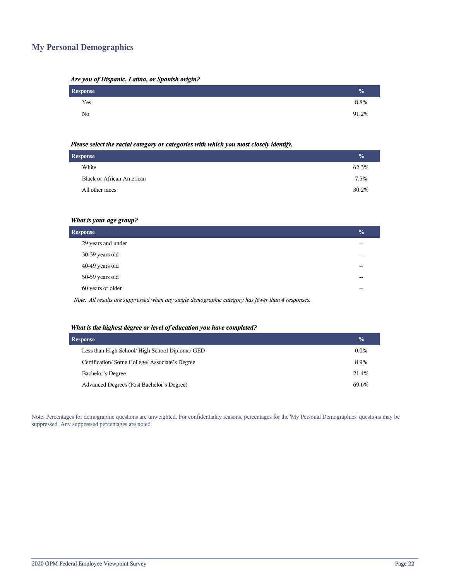# **My Personal Demographics**

| Are you of Hispanic, Latino, or Spanish origin? |  |  |  |
|-------------------------------------------------|--|--|--|
|                                                 |  |  |  |

| Response | $\frac{0}{0}$ |
|----------|---------------|
| Yes      | 8.8%          |
| No       | 91.2%         |

#### *Please select the racial category or categories with which you most closely identify.*

| <b>Response</b> |                                  |       |
|-----------------|----------------------------------|-------|
|                 | White                            | 62.3% |
|                 | <b>Black or African American</b> | 7.5%  |
|                 | All other races                  | 30.2% |
|                 |                                  |       |

#### *What is your age group?*

| $\frac{0}{0}$<br><b>Response</b>                                                                  |  |  |
|---------------------------------------------------------------------------------------------------|--|--|
| 29 years and under                                                                                |  |  |
| 30-39 years old                                                                                   |  |  |
| 40-49 years old                                                                                   |  |  |
| 50-59 years old                                                                                   |  |  |
| 60 years or older                                                                                 |  |  |
| Note: All results are suppressed when any single demographic category has fewer than 4 responses. |  |  |

#### *What is the highest degree or level of education you have completed?*

| <b>Response</b>                                 | $\frac{0}{0}$ |
|-------------------------------------------------|---------------|
| Less than High School/ High School Diploma/ GED | $0.0\%$       |
| Certification/Some College/Associate's Degree   | 8.9%          |
| Bachelor's Degree                               | 21.4%         |
| Advanced Degrees (Post Bachelor's Degree)       | 69.6%         |

Note: Percentages for demographic questions are unweighted. For confidentiality reasons, percentages for the 'My Personal Demographics' questions may be suppressed. Any suppressed percentages are noted.